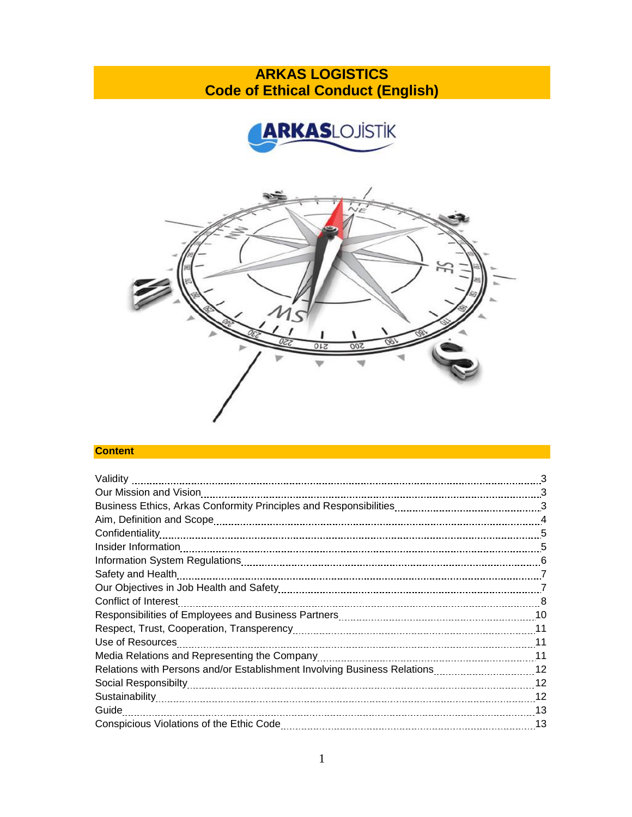# **ARKAS LOGISTICS Code of Ethical Conduct (English)**





# **Content**

|                                                                             | 3  |
|-----------------------------------------------------------------------------|----|
|                                                                             | 3  |
|                                                                             |    |
|                                                                             | 4  |
|                                                                             | 5  |
|                                                                             | 5  |
|                                                                             |    |
| Safety and Health                                                           |    |
|                                                                             |    |
| Conflict of Interest                                                        |    |
|                                                                             | 10 |
|                                                                             |    |
| Use of Resources                                                            | 11 |
|                                                                             |    |
| Relations with Persons and/or Establishment Involving Business Relations 12 |    |
|                                                                             |    |
|                                                                             |    |
|                                                                             |    |
|                                                                             |    |
|                                                                             |    |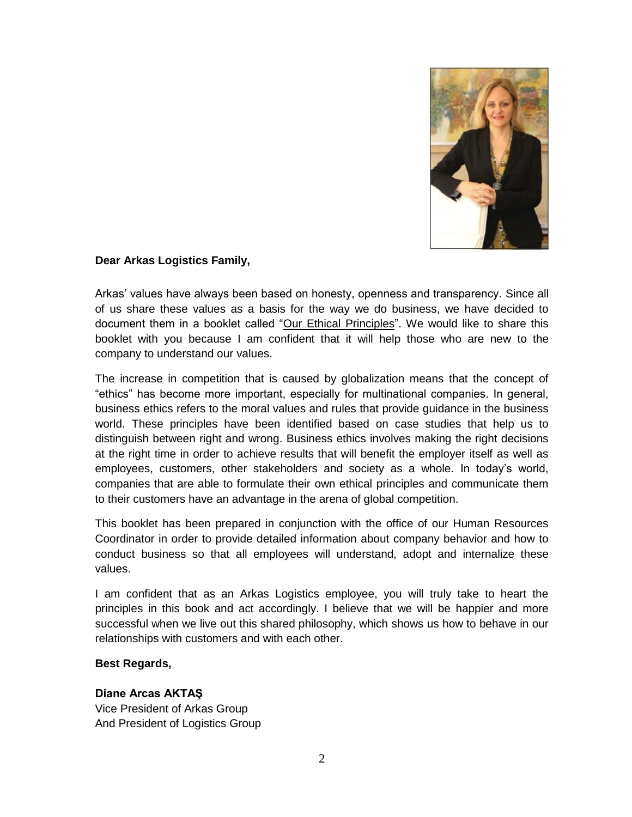

## **Dear Arkas Logistics Family,**

Arkas' values have always been based on honesty, openness and transparency. Since all of us share these values as a basis for the way we do business, we have decided to document them in a booklet called "Our Ethical Principles". We would like to share this booklet with you because I am confident that it will help those who are new to the company to understand our values.

The increase in competition that is caused by globalization means that the concept of "ethics" has become more important, especially for multinational companies. In general, business ethics refers to the moral values and rules that provide guidance in the business world. These principles have been identified based on case studies that help us to distinguish between right and wrong. Business ethics involves making the right decisions at the right time in order to achieve results that will benefit the employer itself as well as employees, customers, other stakeholders and society as a whole. In today's world, companies that are able to formulate their own ethical principles and communicate them to their customers have an advantage in the arena of global competition.

This booklet has been prepared in conjunction with the office of our Human Resources Coordinator in order to provide detailed information about company behavior and how to conduct business so that all employees will understand, adopt and internalize these values.

I am confident that as an Arkas Logistics employee, you will truly take to heart the principles in this book and act accordingly. I believe that we will be happier and more successful when we live out this shared philosophy, which shows us how to behave in our relationships with customers and with each other.

### **Best Regards,**

**Diane Arcas AKTAŞ** Vice President of Arkas Group And President of Logistics Group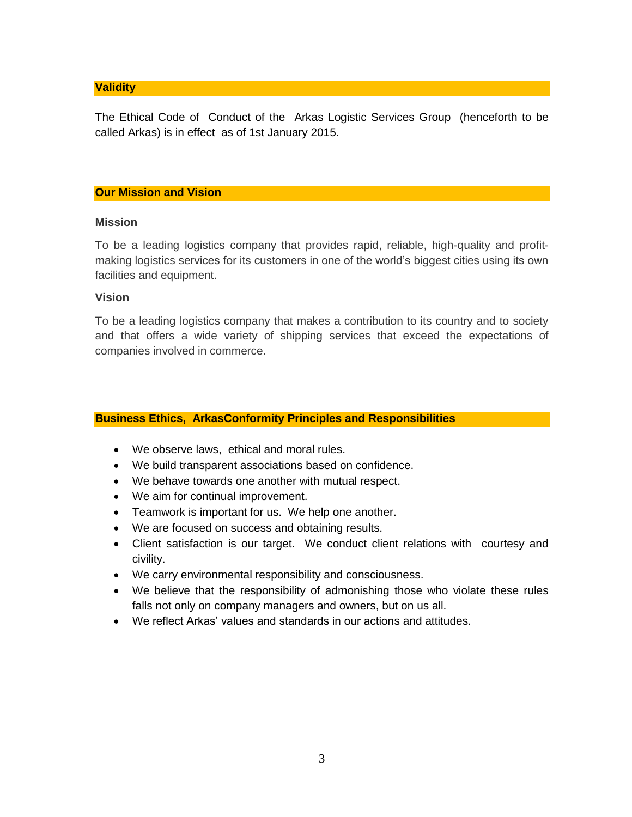## **Validity**

The Ethical Code of Conduct of the Arkas Logistic Services Group (henceforth to be called Arkas) is in effect as of 1st January 2015.

#### **Our Mission and Vision**

## **Mission**

To be a leading logistics company that provides rapid, reliable, high-quality and profitmaking logistics services for its customers in one of the world's biggest cities using its own facilities and equipment.

### **Vision**

To be a leading logistics company that makes a contribution to its country and to society and that offers a wide variety of shipping services that exceed the expectations of companies involved in commerce.

### **Business Ethics, ArkasConformity Principles and Responsibilities**

- We observe laws, ethical and moral rules.
- We build transparent associations based on confidence.
- We behave towards one another with mutual respect.
- We aim for continual improvement.
- Teamwork is important for us. We help one another.
- We are focused on success and obtaining results.
- Client satisfaction is our target. We conduct client relations with courtesy and civility.
- We carry environmental responsibility and consciousness.
- We believe that the responsibility of admonishing those who violate these rules falls not only on company managers and owners, but on us all.
- We reflect Arkas' values and standards in our actions and attitudes.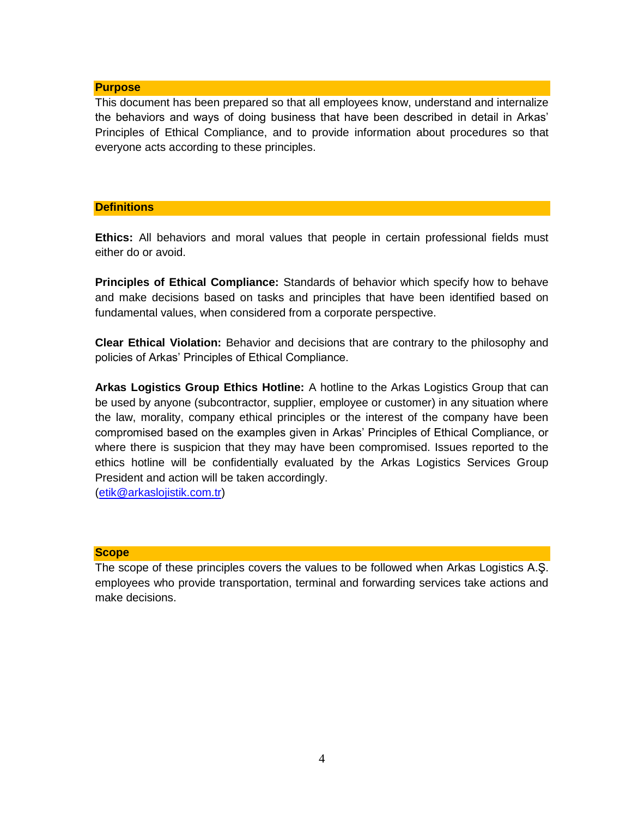#### **Purpose**

This document has been prepared so that all employees know, understand and internalize the behaviors and ways of doing business that have been described in detail in Arkas' Principles of Ethical Compliance, and to provide information about procedures so that everyone acts according to these principles.

## **Definitions**

**Ethics:** All behaviors and moral values that people in certain professional fields must either do or avoid.

**Principles of Ethical Compliance:** Standards of behavior which specify how to behave and make decisions based on tasks and principles that have been identified based on fundamental values, when considered from a corporate perspective.

**Clear Ethical Violation:** Behavior and decisions that are contrary to the philosophy and policies of Arkas' Principles of Ethical Compliance.

**Arkas Logistics Group Ethics Hotline:** A hotline to the Arkas Logistics Group that can be used by anyone (subcontractor, supplier, employee or customer) in any situation where the law, morality, company ethical principles or the interest of the company have been compromised based on the examples given in Arkas' Principles of Ethical Compliance, or where there is suspicion that they may have been compromised. Issues reported to the ethics hotline will be confidentially evaluated by the Arkas Logistics Services Group President and action will be taken accordingly.

[\(etik@arkaslojistik.com.tr\)](mailto:etik@arkaslojistik.com.tr)

### **Scope**

The scope of these principles covers the values to be followed when Arkas Logistics A.Ş. employees who provide transportation, terminal and forwarding services take actions and make decisions.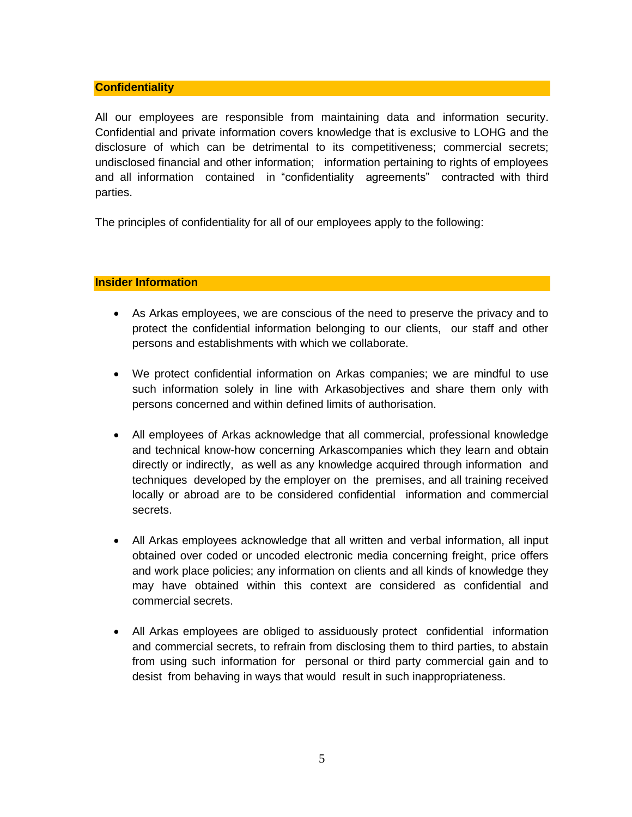## **Confidentiality**

All our employees are responsible from maintaining data and information security. Confidential and private information covers knowledge that is exclusive to LOHG and the disclosure of which can be detrimental to its competitiveness; commercial secrets; undisclosed financial and other information; information pertaining to rights of employees and all information contained in "confidentiality agreements" contracted with third parties.

The principles of confidentiality for all of our employees apply to the following:

### **Insider Information**

- As Arkas employees, we are conscious of the need to preserve the privacy and to protect the confidential information belonging to our clients, our staff and other persons and establishments with which we collaborate.
- We protect confidential information on Arkas companies; we are mindful to use such information solely in line with Arkasobjectives and share them only with persons concerned and within defined limits of authorisation.
- All employees of Arkas acknowledge that all commercial, professional knowledge and technical know-how concerning Arkascompanies which they learn and obtain directly or indirectly, as well as any knowledge acquired through information and techniques developed by the employer on the premises, and all training received locally or abroad are to be considered confidential information and commercial secrets.
- All Arkas employees acknowledge that all written and verbal information, all input obtained over coded or uncoded electronic media concerning freight, price offers and work place policies; any information on clients and all kinds of knowledge they may have obtained within this context are considered as confidential and commercial secrets.
- All Arkas employees are obliged to assiduously protect confidential information and commercial secrets, to refrain from disclosing them to third parties, to abstain from using such information for personal or third party commercial gain and to desist from behaving in ways that would result in such inappropriateness.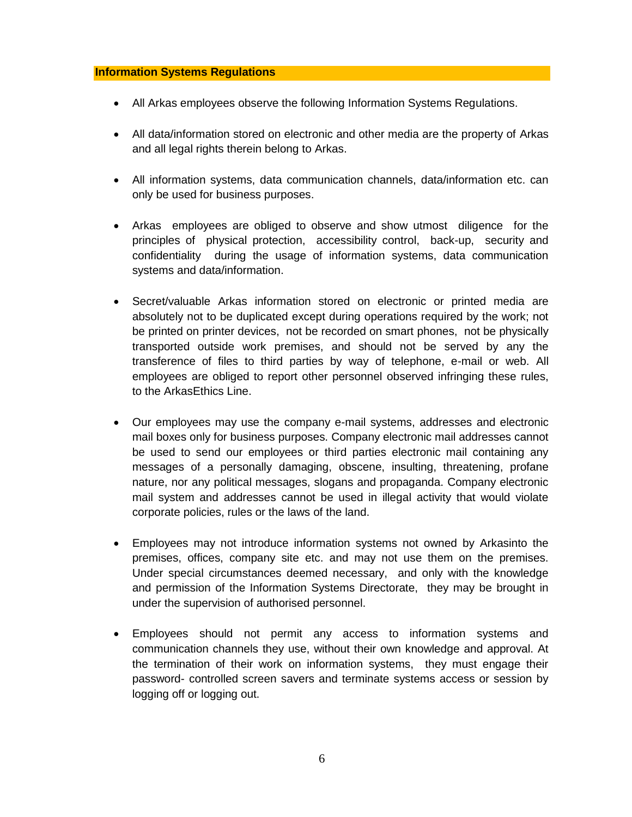## **Information Systems Regulations**

- All Arkas employees observe the following Information Systems Regulations.
- All data/information stored on electronic and other media are the property of Arkas and all legal rights therein belong to Arkas.
- All information systems, data communication channels, data/information etc. can only be used for business purposes.
- Arkas employees are obliged to observe and show utmost diligence for the principles of physical protection, accessibility control, back-up, security and confidentiality during the usage of information systems, data communication systems and data/information.
- Secret/valuable Arkas information stored on electronic or printed media are absolutely not to be duplicated except during operations required by the work; not be printed on printer devices, not be recorded on smart phones, not be physically transported outside work premises, and should not be served by any the transference of files to third parties by way of telephone, e-mail or web. All employees are obliged to report other personnel observed infringing these rules, to the ArkasEthics Line.
- Our employees may use the company e-mail systems, addresses and electronic mail boxes only for business purposes. Company electronic mail addresses cannot be used to send our employees or third parties electronic mail containing any messages of a personally damaging, obscene, insulting, threatening, profane nature, nor any political messages, slogans and propaganda. Company electronic mail system and addresses cannot be used in illegal activity that would violate corporate policies, rules or the laws of the land.
- Employees may not introduce information systems not owned by Arkasinto the premises, offices, company site etc. and may not use them on the premises. Under special circumstances deemed necessary, and only with the knowledge and permission of the Information Systems Directorate, they may be brought in under the supervision of authorised personnel.
- Employees should not permit any access to information systems and communication channels they use, without their own knowledge and approval. At the termination of their work on information systems, they must engage their password- controlled screen savers and terminate systems access or session by logging off or logging out.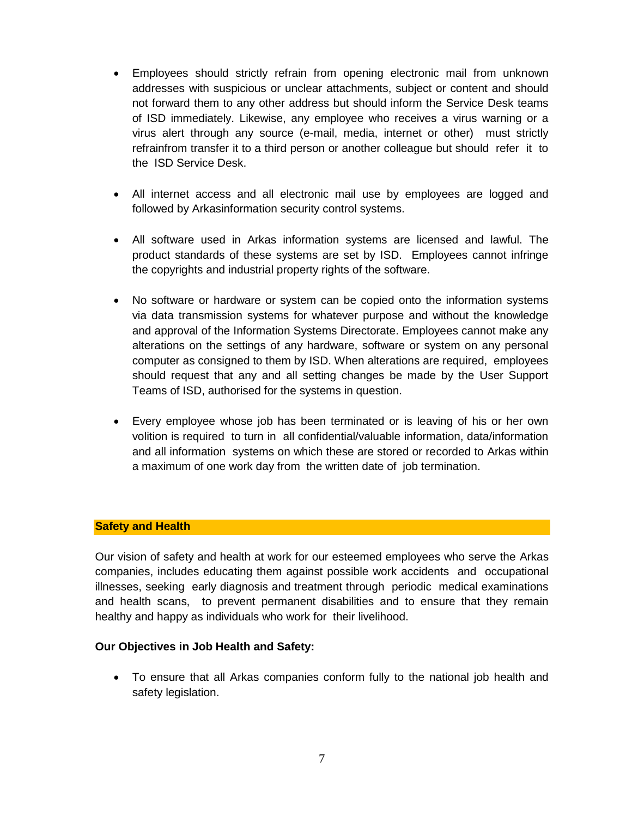- Employees should strictly refrain from opening electronic mail from unknown addresses with suspicious or unclear attachments, subject or content and should not forward them to any other address but should inform the Service Desk teams of ISD immediately. Likewise, any employee who receives a virus warning or a virus alert through any source (e-mail, media, internet or other) must strictly refrainfrom transfer it to a third person or another colleague but should refer it to the ISD Service Desk.
- All internet access and all electronic mail use by employees are logged and followed by Arkasinformation security control systems.
- All software used in Arkas information systems are licensed and lawful. The product standards of these systems are set by ISD. Employees cannot infringe the copyrights and industrial property rights of the software.
- No software or hardware or system can be copied onto the information systems via data transmission systems for whatever purpose and without the knowledge and approval of the Information Systems Directorate. Employees cannot make any alterations on the settings of any hardware, software or system on any personal computer as consigned to them by ISD. When alterations are required, employees should request that any and all setting changes be made by the User Support Teams of ISD, authorised for the systems in question.
- Every employee whose job has been terminated or is leaving of his or her own volition is required to turn in all confidential/valuable information, data/information and all information systems on which these are stored or recorded to Arkas within a maximum of one work day from the written date of job termination.

### **Safety and Health**

Our vision of safety and health at work for our esteemed employees who serve the Arkas companies, includes educating them against possible work accidents and occupational illnesses, seeking early diagnosis and treatment through periodic medical examinations and health scans, to prevent permanent disabilities and to ensure that they remain healthy and happy as individuals who work for their livelihood.

## **Our Objectives in Job Health and Safety:**

 To ensure that all Arkas companies conform fully to the national job health and safety legislation.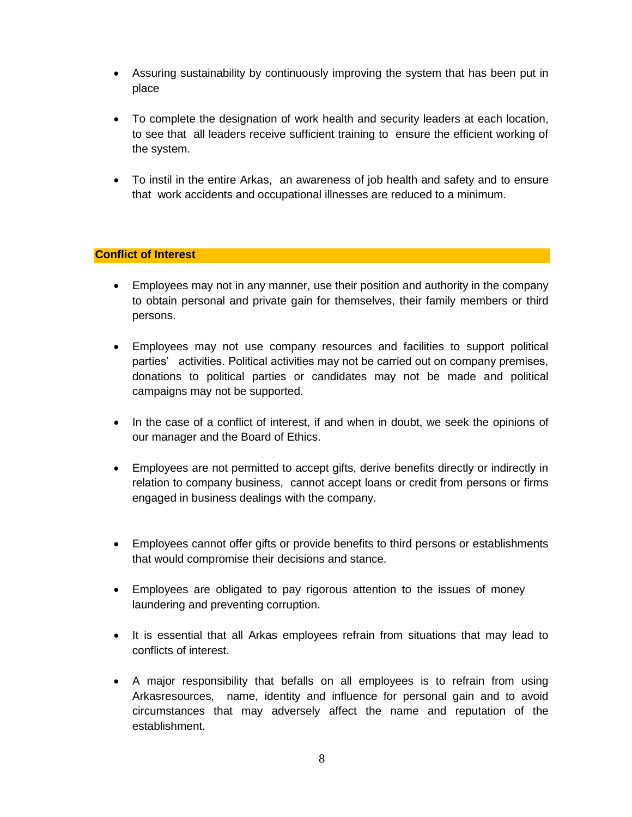- Assuring sustainability by continuously improving the system that has been put in place
- To complete the designation of work health and security leaders at each location, to see that all leaders receive sufficient training to ensure the efficient working of the system.
- To instil in the entire Arkas, an awareness of job health and safety and to ensure that work accidents and occupational illnesses are reduced to a minimum.

## **Conflict of Interest**

- Employees may not in any manner, use their position and authority in the company to obtain personal and private gain for themselves, their family members or third persons.
- Employees may not use company resources and facilities to support political parties' activities. Political activities may not be carried out on company premises, donations to political parties or candidates may not be made and political campaigns may not be supported.
- In the case of a conflict of interest, if and when in doubt, we seek the opinions of our manager and the Board of Ethics.
- Employees are not permitted to accept gifts, derive benefits directly or indirectly in relation to company business, cannot accept loans or credit from persons or firms engaged in business dealings with the company.
- Employees cannot offer gifts or provide benefits to third persons or establishments that would compromise their decisions and stance.
- Employees are obligated to pay rigorous attention to the issues of money laundering and preventing corruption.
- It is essential that all Arkas employees refrain from situations that may lead to conflicts of interest.
- A major responsibility that befalls on all employees is to refrain from using Arkasresources, name, identity and influence for personal gain and to avoid circumstances that may adversely affect the name and reputation of the establishment.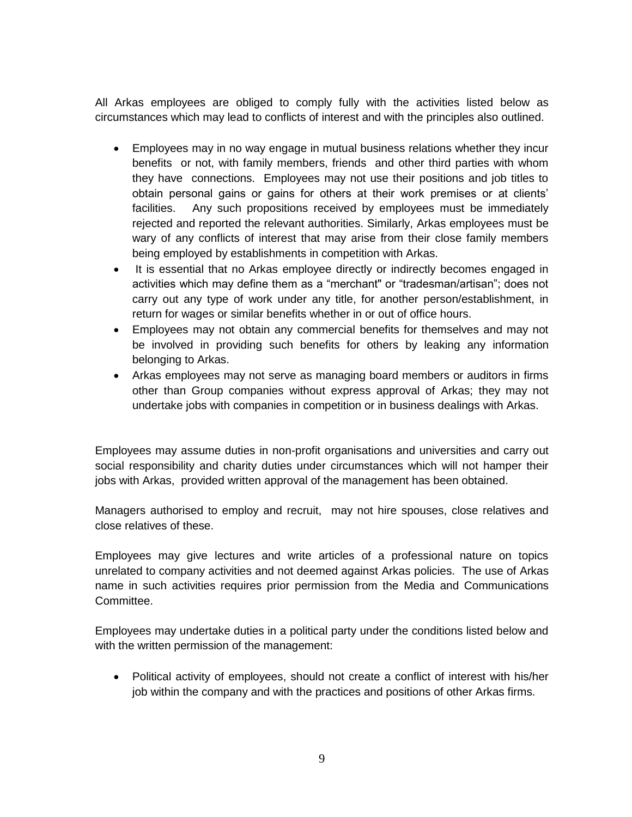All Arkas employees are obliged to comply fully with the activities listed below as circumstances which may lead to conflicts of interest and with the principles also outlined.

- Employees may in no way engage in mutual business relations whether they incur benefits or not, with family members, friends and other third parties with whom they have connections. Employees may not use their positions and job titles to obtain personal gains or gains for others at their work premises or at clients' facilities. Any such propositions received by employees must be immediately rejected and reported the relevant authorities. Similarly, Arkas employees must be wary of any conflicts of interest that may arise from their close family members being employed by establishments in competition with Arkas.
- It is essential that no Arkas employee directly or indirectly becomes engaged in activities which may define them as a "merchant" or "tradesman/artisan"; does not carry out any type of work under any title, for another person/establishment, in return for wages or similar benefits whether in or out of office hours.
- Employees may not obtain any commercial benefits for themselves and may not be involved in providing such benefits for others by leaking any information belonging to Arkas.
- Arkas employees may not serve as managing board members or auditors in firms other than Group companies without express approval of Arkas; they may not undertake jobs with companies in competition or in business dealings with Arkas.

Employees may assume duties in non-profit organisations and universities and carry out social responsibility and charity duties under circumstances which will not hamper their jobs with Arkas, provided written approval of the management has been obtained.

Managers authorised to employ and recruit, may not hire spouses, close relatives and close relatives of these.

Employees may give lectures and write articles of a professional nature on topics unrelated to company activities and not deemed against Arkas policies. The use of Arkas name in such activities requires prior permission from the Media and Communications Committee.

Employees may undertake duties in a political party under the conditions listed below and with the written permission of the management:

• Political activity of employees, should not create a conflict of interest with his/her job within the company and with the practices and positions of other Arkas firms.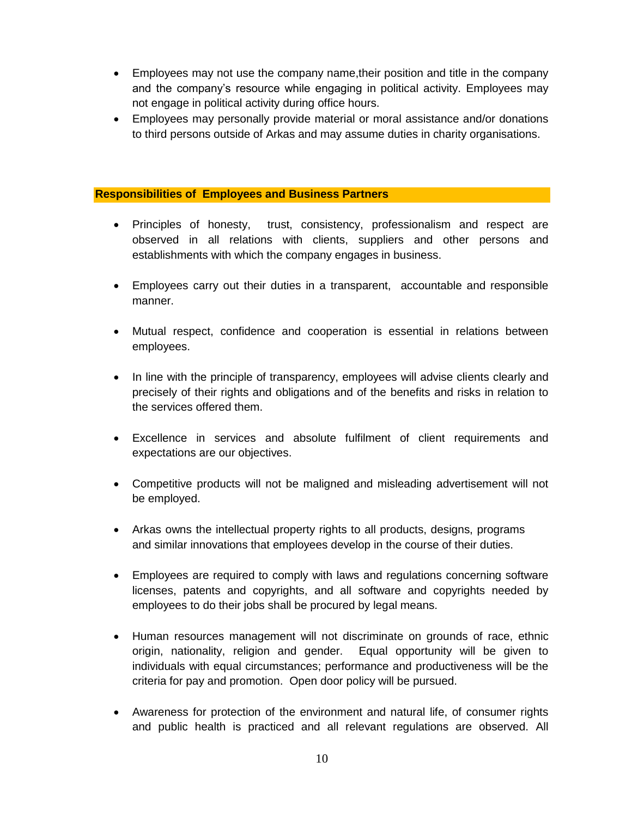- Employees may not use the company name,their position and title in the company and the company's resource while engaging in political activity. Employees may not engage in political activity during office hours.
- Employees may personally provide material or moral assistance and/or donations to third persons outside of Arkas and may assume duties in charity organisations.

## **Responsibilities of Employees and Business Partners**

- Principles of honesty, trust, consistency, professionalism and respect are observed in all relations with clients, suppliers and other persons and establishments with which the company engages in business.
- Employees carry out their duties in a transparent, accountable and responsible manner.
- Mutual respect, confidence and cooperation is essential in relations between employees.
- In line with the principle of transparency, employees will advise clients clearly and precisely of their rights and obligations and of the benefits and risks in relation to the services offered them.
- Excellence in services and absolute fulfilment of client requirements and expectations are our objectives.
- Competitive products will not be maligned and misleading advertisement will not be employed.
- Arkas owns the intellectual property rights to all products, designs, programs and similar innovations that employees develop in the course of their duties.
- Employees are required to comply with laws and regulations concerning software licenses, patents and copyrights, and all software and copyrights needed by employees to do their jobs shall be procured by legal means.
- Human resources management will not discriminate on grounds of race, ethnic origin, nationality, religion and gender. Equal opportunity will be given to individuals with equal circumstances; performance and productiveness will be the criteria for pay and promotion. Open door policy will be pursued.
- Awareness for protection of the environment and natural life, of consumer rights and public health is practiced and all relevant regulations are observed. All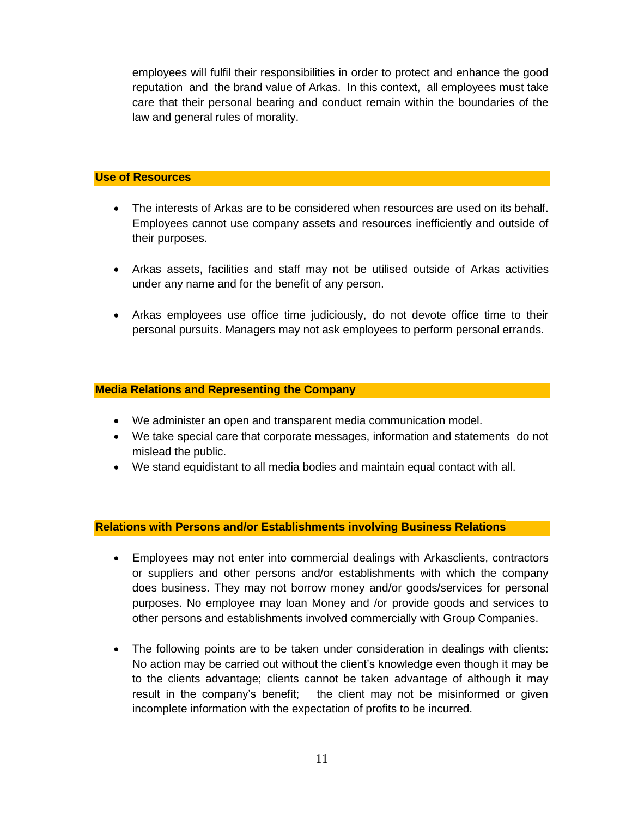employees will fulfil their responsibilities in order to protect and enhance the good reputation and the brand value of Arkas. In this context, all employees must take care that their personal bearing and conduct remain within the boundaries of the law and general rules of morality.

#### **Use of Resources**

- The interests of Arkas are to be considered when resources are used on its behalf. Employees cannot use company assets and resources inefficiently and outside of their purposes.
- Arkas assets, facilities and staff may not be utilised outside of Arkas activities under any name and for the benefit of any person.
- Arkas employees use office time judiciously, do not devote office time to their personal pursuits. Managers may not ask employees to perform personal errands.

### **Media Relations and Representing the Company**

- We administer an open and transparent media communication model.
- We take special care that corporate messages, information and statements do not mislead the public.
- We stand equidistant to all media bodies and maintain equal contact with all.

### **Relations with Persons and/or Establishments involving Business Relations**

- Employees may not enter into commercial dealings with Arkasclients, contractors or suppliers and other persons and/or establishments with which the company does business. They may not borrow money and/or goods/services for personal purposes. No employee may loan Money and /or provide goods and services to other persons and establishments involved commercially with Group Companies.
- The following points are to be taken under consideration in dealings with clients: No action may be carried out without the client's knowledge even though it may be to the clients advantage; clients cannot be taken advantage of although it may result in the company's benefit; the client may not be misinformed or given incomplete information with the expectation of profits to be incurred.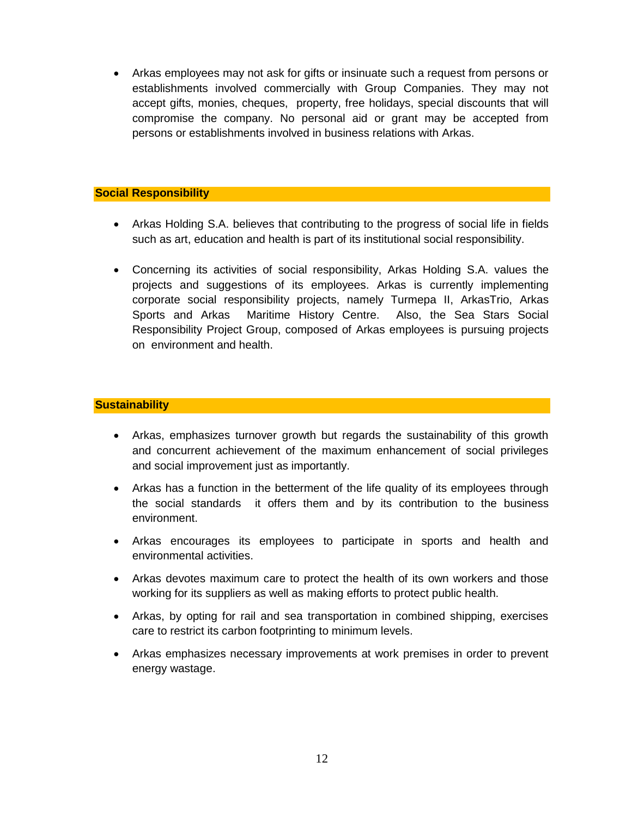Arkas employees may not ask for gifts or insinuate such a request from persons or establishments involved commercially with Group Companies. They may not accept gifts, monies, cheques, property, free holidays, special discounts that will compromise the company. No personal aid or grant may be accepted from persons or establishments involved in business relations with Arkas.

### **Social Responsibility**

- Arkas Holding S.A. believes that contributing to the progress of social life in fields such as art, education and health is part of its institutional social responsibility.
- Concerning its activities of social responsibility, Arkas Holding S.A. values the projects and suggestions of its employees. Arkas is currently implementing corporate social responsibility projects, namely Turmepa II, ArkasTrio, Arkas Sports and Arkas Maritime History Centre. Also, the Sea Stars Social Responsibility Project Group, composed of Arkas employees is pursuing projects on environment and health.

# **Sustainability**

- Arkas, emphasizes turnover growth but regards the sustainability of this growth and concurrent achievement of the maximum enhancement of social privileges and social improvement just as importantly.
- Arkas has a function in the betterment of the life quality of its employees through the social standards it offers them and by its contribution to the business environment.
- Arkas encourages its employees to participate in sports and health and environmental activities.
- Arkas devotes maximum care to protect the health of its own workers and those working for its suppliers as well as making efforts to protect public health.
- Arkas, by opting for rail and sea transportation in combined shipping, exercises care to restrict its carbon footprinting to minimum levels.
- Arkas emphasizes necessary improvements at work premises in order to prevent energy wastage.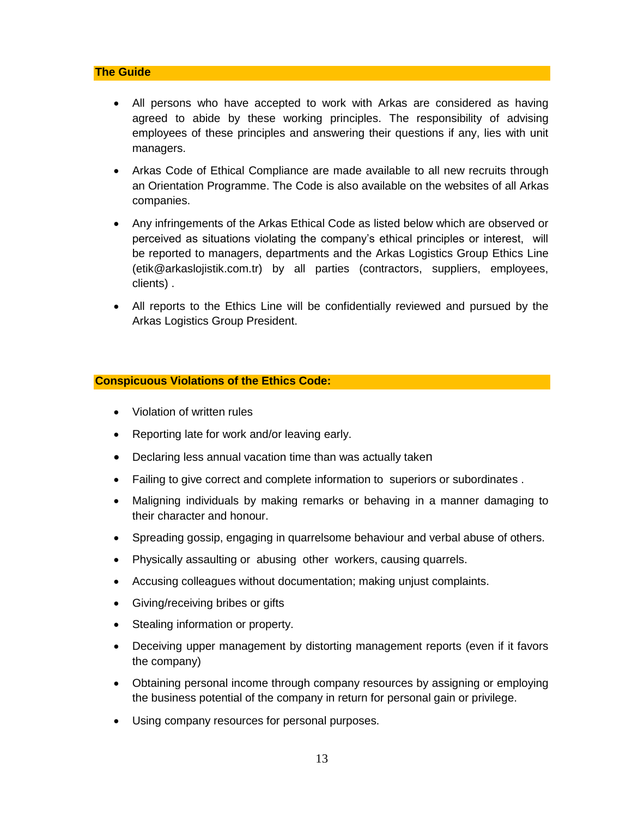## **The Guide**

- All persons who have accepted to work with Arkas are considered as having agreed to abide by these working principles. The responsibility of advising employees of these principles and answering their questions if any, lies with unit managers.
- Arkas Code of Ethical Compliance are made available to all new recruits through an Orientation Programme. The Code is also available on the websites of all Arkas companies.
- Any infringements of the Arkas Ethical Code as listed below which are observed or perceived as situations violating the company's ethical principles or interest, will be reported to managers, departments and the Arkas Logistics Group Ethics Line (etik@arkaslojistik.com.tr) by all parties (contractors, suppliers, employees, clients) .
- All reports to the Ethics Line will be confidentially reviewed and pursued by the Arkas Logistics Group President.

## **Conspicuous Violations of the Ethics Code:**

- Violation of written rules
- Reporting late for work and/or leaving early.
- Declaring less annual vacation time than was actually taken
- Failing to give correct and complete information to superiors or subordinates.
- Maligning individuals by making remarks or behaving in a manner damaging to their character and honour.
- Spreading gossip, engaging in quarrelsome behaviour and verbal abuse of others.
- Physically assaulting or abusing other workers, causing quarrels.
- Accusing colleagues without documentation; making unjust complaints.
- Giving/receiving bribes or gifts
- Stealing information or property.
- Deceiving upper management by distorting management reports (even if it favors the company)
- Obtaining personal income through company resources by assigning or employing the business potential of the company in return for personal gain or privilege.
- Using company resources for personal purposes.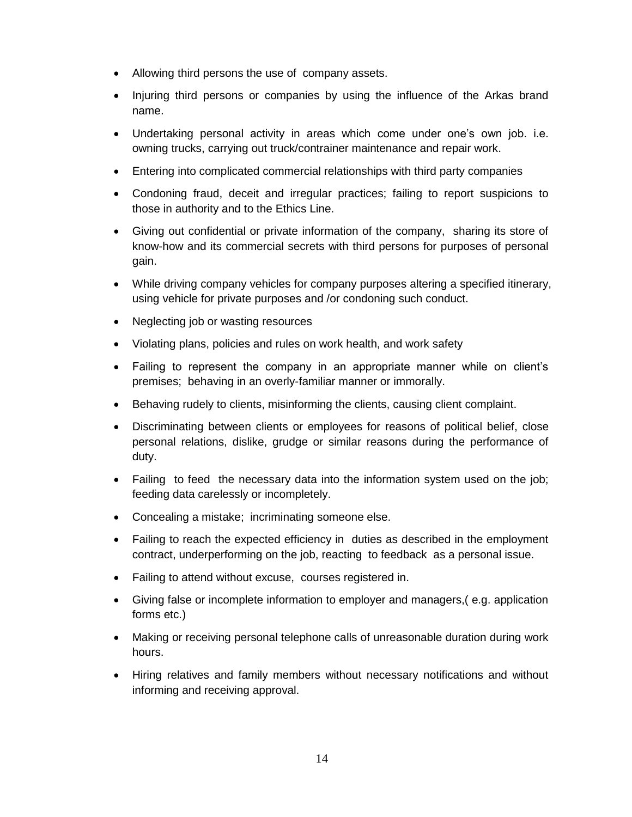- Allowing third persons the use of company assets.
- Injuring third persons or companies by using the influence of the Arkas brand name.
- Undertaking personal activity in areas which come under one's own job. i.e. owning trucks, carrying out truck/contrainer maintenance and repair work.
- Entering into complicated commercial relationships with third party companies
- Condoning fraud, deceit and irregular practices; failing to report suspicions to those in authority and to the Ethics Line.
- Giving out confidential or private information of the company, sharing its store of know-how and its commercial secrets with third persons for purposes of personal gain.
- While driving company vehicles for company purposes altering a specified itinerary, using vehicle for private purposes and /or condoning such conduct.
- Neglecting job or wasting resources
- Violating plans, policies and rules on work health, and work safety
- Failing to represent the company in an appropriate manner while on client's premises; behaving in an overly-familiar manner or immorally.
- Behaving rudely to clients, misinforming the clients, causing client complaint.
- Discriminating between clients or employees for reasons of political belief, close personal relations, dislike, grudge or similar reasons during the performance of duty.
- Failing to feed the necessary data into the information system used on the job; feeding data carelessly or incompletely.
- Concealing a mistake; incriminating someone else.
- Failing to reach the expected efficiency in duties as described in the employment contract, underperforming on the job, reacting to feedback as a personal issue.
- Failing to attend without excuse, courses registered in.
- Giving false or incomplete information to employer and managers,( e.g. application forms etc.)
- Making or receiving personal telephone calls of unreasonable duration during work hours.
- Hiring relatives and family members without necessary notifications and without informing and receiving approval.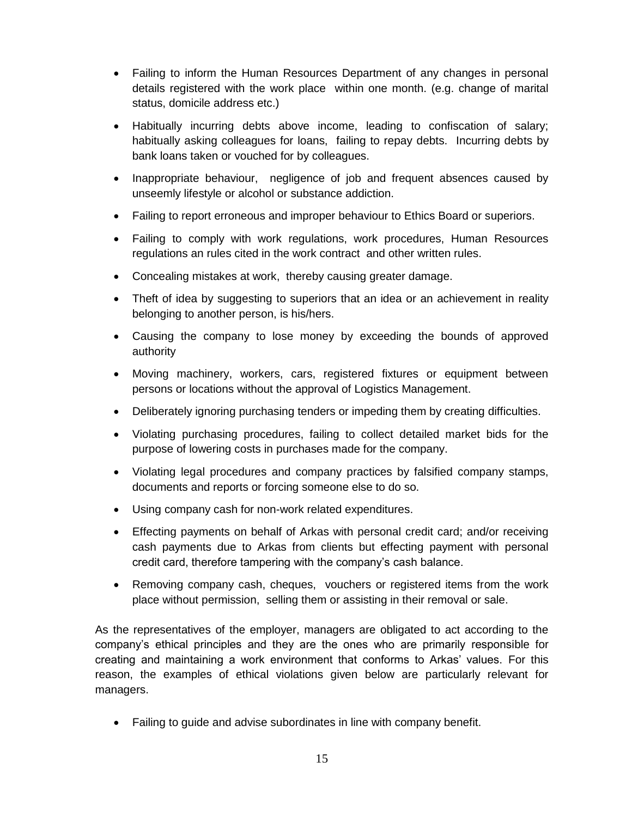- Failing to inform the Human Resources Department of any changes in personal details registered with the work place within one month. (e.g. change of marital status, domicile address etc.)
- Habitually incurring debts above income, leading to confiscation of salary; habitually asking colleagues for loans, failing to repay debts. Incurring debts by bank loans taken or vouched for by colleagues.
- Inappropriate behaviour, negligence of job and frequent absences caused by unseemly lifestyle or alcohol or substance addiction.
- Failing to report erroneous and improper behaviour to Ethics Board or superiors.
- Failing to comply with work regulations, work procedures, Human Resources regulations an rules cited in the work contract and other written rules.
- Concealing mistakes at work, thereby causing greater damage.
- Theft of idea by suggesting to superiors that an idea or an achievement in reality belonging to another person, is his/hers.
- Causing the company to lose money by exceeding the bounds of approved authority
- Moving machinery, workers, cars, registered fixtures or equipment between persons or locations without the approval of Logistics Management.
- Deliberately ignoring purchasing tenders or impeding them by creating difficulties.
- Violating purchasing procedures, failing to collect detailed market bids for the purpose of lowering costs in purchases made for the company.
- Violating legal procedures and company practices by falsified company stamps, documents and reports or forcing someone else to do so.
- Using company cash for non-work related expenditures.
- Effecting payments on behalf of Arkas with personal credit card; and/or receiving cash payments due to Arkas from clients but effecting payment with personal credit card, therefore tampering with the company's cash balance.
- Removing company cash, cheques, vouchers or registered items from the work place without permission, selling them or assisting in their removal or sale.

As the representatives of the employer, managers are obligated to act according to the company's ethical principles and they are the ones who are primarily responsible for creating and maintaining a work environment that conforms to Arkas' values. For this reason, the examples of ethical violations given below are particularly relevant for managers.

Failing to guide and advise subordinates in line with company benefit.